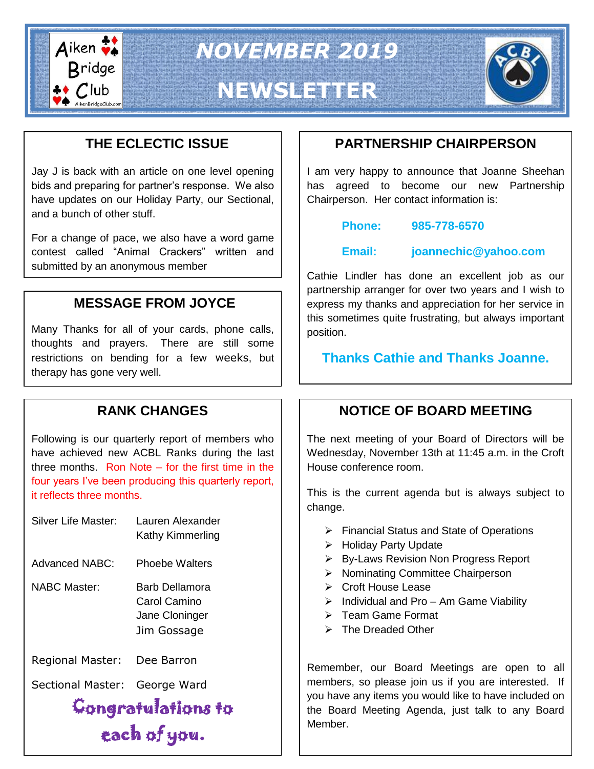

*NOVEMBER 2019*

# **NEWSLETTER**



## **THE ECLECTIC ISSUE**

Jay J is back with an article on one level opening bids and preparing for partner's response. We also have updates on our Holiday Party, our Sectional, and a bunch of other stuff.

For a change of pace, we also have a word game contest called "Animal Crackers" written and submitted by an anonymous member

## **MESSAGE FROM JOYCE**

Many Thanks for all of your cards, phone calls, thoughts and prayers. There are still some restrictions on bending for a few weeks, but therapy has gone very well.

## **RANK CHANGES**

Following is our quarterly report of members who have achieved new ACBL Ranks during the last three months. Ron Note – for the first time in the four years I've been producing this quarterly report, it reflects three months.

| Silver Life Master:         | Lauren Alexander<br>Kathy Kimmerling                            |  |
|-----------------------------|-----------------------------------------------------------------|--|
| <b>Advanced NABC:</b>       | Phoebe Walters                                                  |  |
| <b>NABC Master:</b>         | Barb Dellamora<br>Carol Camino<br>Jane Cloninger<br>Jim Gossage |  |
| Regional Master: Dee Barron |                                                                 |  |
| Sectional Master:           | George Ward                                                     |  |
| Congratulations to          |                                                                 |  |
| each of you.                |                                                                 |  |

## **PARTNERSHIP CHAIRPERSON**

I am very happy to announce that Joanne Sheehan has agreed to become our new Partnership Chairperson. Her contact information is:

**Phone: 985-778-6570**

**Email: joannechic@yahoo.com**

Cathie Lindler has done an excellent job as our partnership arranger for over two years and I wish to express my thanks and appreciation for her service in this sometimes quite frustrating, but always important position.

**Thanks Cathie and Thanks Joanne.**

## **NOTICE OF BOARD MEETING**

The next meeting of your Board of Directors will be Wednesday, November 13th at 11:45 a.m. in the Croft House conference room.

This is the current agenda but is always subject to change.

- $\triangleright$  Financial Status and State of Operations
- > Holiday Party Update
- $\triangleright$  By-Laws Revision Non Progress Report
- $\triangleright$  Nominating Committee Chairperson
- **▶ Croft House Lease**
- $\triangleright$  Individual and Pro Am Game Viability
- $\triangleright$  Team Game Format
- $\triangleright$  The Dreaded Other

Remember, our Board Meetings are open to all members, so please join us if you are interested. If you have any items you would like to have included on the Board Meeting Agenda, just talk to any Board Member.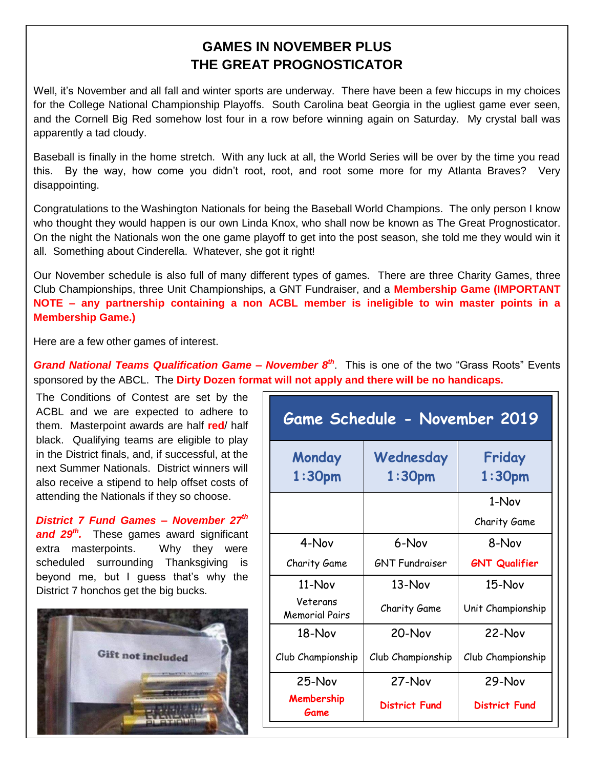#### **GAMES IN NOVEMBER PLUS THE GREAT PROGNOSTICATOR**

Well, it's November and all fall and winter sports are underway. There have been a few hiccups in my choices for the College National Championship Playoffs. South Carolina beat Georgia in the ugliest game ever seen, and the Cornell Big Red somehow lost four in a row before winning again on Saturday. My crystal ball was apparently a tad cloudy.

Baseball is finally in the home stretch. With any luck at all, the World Series will be over by the time you read this. By the way, how come you didn't root, root, and root some more for my Atlanta Braves? Very disappointing.

Congratulations to the Washington Nationals for being the Baseball World Champions. The only person I know who thought they would happen is our own Linda Knox, who shall now be known as The Great Prognosticator. On the night the Nationals won the one game playoff to get into the post season, she told me they would win it all. Something about Cinderella. Whatever, she got it right!

Our November schedule is also full of many different types of games. There are three Charity Games, three Club Championships, three Unit Championships, a GNT Fundraiser, and a **Membership Game (IMPORTANT NOTE – any partnership containing a non ACBL member is ineligible to win master points in a Membership Game.)**

Here are a few other games of interest.

*Grand National Teams Qualification Game – November 8th*. This is one of the two "Grass Roots" Events sponsored by the ABCL. The **Dirty Dozen format will not apply and there will be no handicaps.**

The Conditions of Contest are set by the ACBL and we are expected to adhere to them. Masterpoint awards are half **red**/ half black. Qualifying teams are eligible to play in the District finals, and, if successful, at the next Summer Nationals. District winners will also receive a stipend to help offset costs of attending the Nationals if they so choose.

*District 7 Fund Games – November 27th and 29th .* These games award significant extra masterpoints. Why they were scheduled surrounding Thanksgiving is beyond me, but I guess that's why the District 7 honchos get the big bucks.



| Game Schedule - November 2019     |                                 |                              |
|-----------------------------------|---------------------------------|------------------------------|
| Monday<br>1:30 <sub>pm</sub>      | Wednesday<br>1:30 <sub>pm</sub> | Friday<br>1:30 <sub>pm</sub> |
|                                   |                                 | 1-Nov                        |
|                                   |                                 | Charity Game                 |
| 4-Nov                             | 6-Nov                           | 8-Nov                        |
| Charity Game                      | <b>GNT Fundraiser</b>           | <b>GNT Qualifier</b>         |
| $11-Nov$                          | $13 -$ Nov                      | $15-Nov$                     |
| Veterans<br><b>Memorial Pairs</b> | Charity Game                    | Unit Championship            |
| $18 - Nov$                        | 20-Nov                          | 22-Nov                       |
| Club Championship                 | Club Championship               | Club Championship            |
| 25-Nov                            | $27-Nov$                        | 29-Nov                       |
| Membership<br>Game                | <b>District Fund</b>            | <b>District Fund</b>         |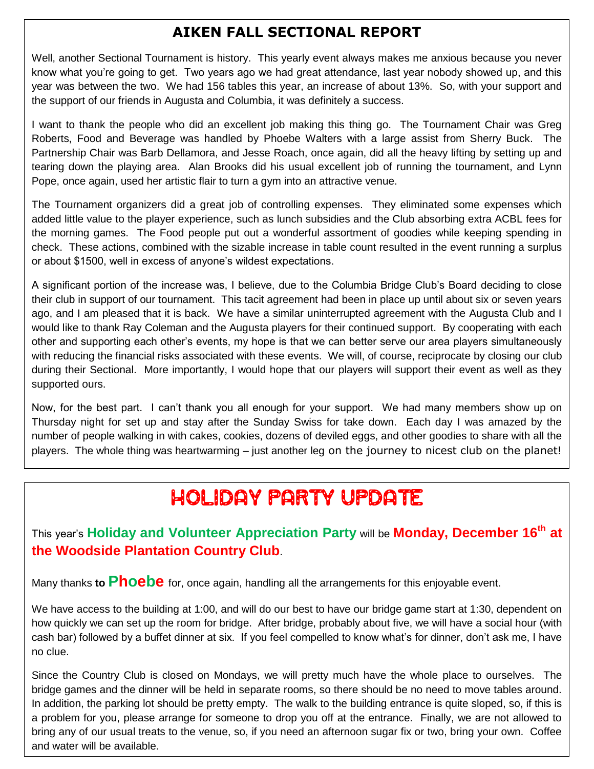## **AIKEN FALL SECTIONAL REPORT**

Well, another Sectional Tournament is history. This yearly event always makes me anxious because you never know what you're going to get. Two years ago we had great attendance, last year nobody showed up, and this year was between the two. We had 156 tables this year, an increase of about 13%. So, with your support and the support of our friends in Augusta and Columbia, it was definitely a success.

I want to thank the people who did an excellent job making this thing go. The Tournament Chair was Greg Roberts, Food and Beverage was handled by Phoebe Walters with a large assist from Sherry Buck. The Partnership Chair was Barb Dellamora, and Jesse Roach, once again, did all the heavy lifting by setting up and tearing down the playing area. Alan Brooks did his usual excellent job of running the tournament, and Lynn Pope, once again, used her artistic flair to turn a gym into an attractive venue.

The Tournament organizers did a great job of controlling expenses. They eliminated some expenses which added little value to the player experience, such as lunch subsidies and the Club absorbing extra ACBL fees for the morning games. The Food people put out a wonderful assortment of goodies while keeping spending in check. These actions, combined with the sizable increase in table count resulted in the event running a surplus or about \$1500, well in excess of anyone's wildest expectations.

A significant portion of the increase was, I believe, due to the Columbia Bridge Club's Board deciding to close their club in support of our tournament. This tacit agreement had been in place up until about six or seven years ago, and I am pleased that it is back. We have a similar uninterrupted agreement with the Augusta Club and I would like to thank Ray Coleman and the Augusta players for their continued support. By cooperating with each other and supporting each other's events, my hope is that we can better serve our area players simultaneously with reducing the financial risks associated with these events. We will, of course, reciprocate by closing our club during their Sectional. More importantly, I would hope that our players will support their event as well as they supported ours.

Now, for the best part. I can't thank you all enough for your support. We had many members show up on Thursday night for set up and stay after the Sunday Swiss for take down. Each day I was amazed by the number of people walking in with cakes, cookies, dozens of deviled eggs, and other goodies to share with all the players. The whole thing was heartwarming – just another leg on the journey to nicest club on the planet!

## HOLIDAY PARTY UPDATE

This year's **Holiday and Volunteer Appreciation Party** will be **Monday, December 16th at the Woodside Plantation Country Club**.

Many thanks **to Phoebe** for, once again, handling all the arrangements for this enjoyable event.

We have access to the building at 1:00, and will do our best to have our bridge game start at 1:30, dependent on how quickly we can set up the room for bridge. After bridge, probably about five, we will have a social hour (with cash bar) followed by a buffet dinner at six. If you feel compelled to know what's for dinner, don't ask me, I have no clue.

Since the Country Club is closed on Mondays, we will pretty much have the whole place to ourselves. The bridge games and the dinner will be held in separate rooms, so there should be no need to move tables around. In addition, the parking lot should be pretty empty. The walk to the building entrance is quite sloped, so, if this is a problem for you, please arrange for someone to drop you off at the entrance. Finally, we are not allowed to bring any of our usual treats to the venue, so, if you need an afternoon sugar fix or two, bring your own. Coffee and water will be available.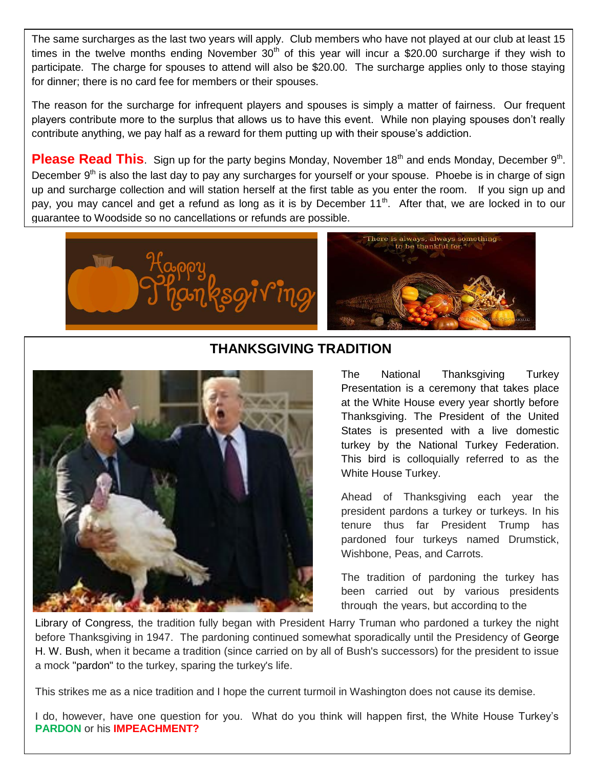The same surcharges as the last two years will apply. Club members who have not played at our club at least 15 times in the twelve months ending November  $30<sup>th</sup>$  of this year will incur a \$20.00 surcharge if they wish to participate. The charge for spouses to attend will also be \$20.00. The surcharge applies only to those staying for dinner; there is no card fee for members or their spouses.

The reason for the surcharge for infrequent players and spouses is simply a matter of fairness. Our frequent players contribute more to the surplus that allows us to have this event. While non playing spouses don't really contribute anything, we pay half as a reward for them putting up with their spouse's addiction.

Please Read This. Sign up for the party begins Monday, November 18<sup>th</sup> and ends Monday, December 9<sup>th</sup>. December 9<sup>th</sup> is also the last day to pay any surcharges for yourself or your spouse. Phoebe is in charge of sign up and surcharge collection and will station herself at the first table as you enter the room. If you sign up and pay, you may cancel and get a refund as long as it is by December 11<sup>th</sup>. After that, we are locked in to our guarantee to Woodside so no cancellations or refunds are possible.





#### **THANKSGIVING TRADITION**



The National Thanksgiving Turkey Presentation is a ceremony that takes place at the [White House](https://en.wikipedia.org/wiki/White_House) every year shortly before [Thanksgiving.](https://en.wikipedia.org/wiki/Thanksgiving_(United_States)) The [President of the United](https://en.wikipedia.org/wiki/President_of_the_United_States)  [States](https://en.wikipedia.org/wiki/President_of_the_United_States) is presented with a live [domestic](https://en.wikipedia.org/wiki/Domestic_turkey)  [turkey](https://en.wikipedia.org/wiki/Domestic_turkey) by the [National Turkey](https://en.wikipedia.org/wiki/National_Turkey_Federation) Federation. This bird is colloquially referred to as the White House Turkey.

Ahead of Thanksgiving each year the president pardons a turkey or turkeys. In his tenure thus far President Trump has pardoned four turkeys named Drumstick, Wishbone, Peas, and Carrots.

The tradition of pardoning the turkey has been carried out by various presidents through the years, but according to the

Library of [Congress,](https://www.loc.gov/teachers/classroommaterials/presentationsandactivities/presentations/thanksgiving/timeline/1947.html) the tradition fully began with President Harry Truman who pardoned a turkey the night before Thanksgiving in 1947. The pardoning continued somewhat sporadically until the Presidency of [George](https://en.wikipedia.org/wiki/George_H._W._Bush)  [H. W. Bush,](https://en.wikipedia.org/wiki/George_H._W._Bush) when it became a tradition (since carried on by all of Bush's successors) for the president to issue a mock ["pardon"](https://en.wikipedia.org/wiki/Pardon) to the turkey, sparing the turkey's life.

This strikes me as a nice tradition and I hope the current turmoil in Washington does not cause its demise.

I do, however, have one question for you. What do you think will happen first, the White House Turkey's **PARDON** or his **IMPEACHMENT?**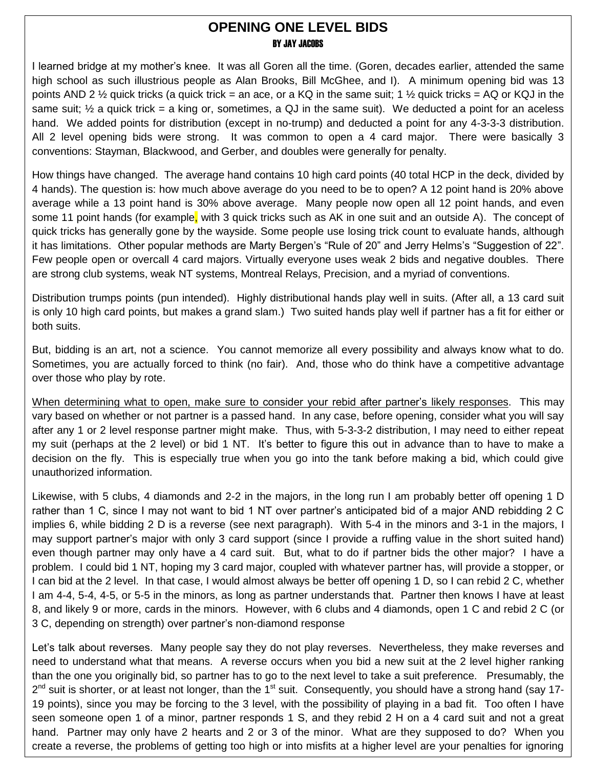#### **OPENING ONE LEVEL BIDS** BY JAY JACOBS

I learned bridge at my mother's knee. It was all Goren all the time. (Goren, decades earlier, attended the same high school as such illustrious people as Alan Brooks, Bill McGhee, and I). A minimum opening bid was 13 points AND 2  $\frac{1}{2}$  quick tricks (a quick trick = an ace, or a KQ in the same suit; 1  $\frac{1}{2}$  quick tricks = AQ or KQJ in the same suit;  $\frac{1}{2}$  a quick trick = a king or, sometimes, a QJ in the same suit). We deducted a point for an aceless hand. We added points for distribution (except in no-trump) and deducted a point for any 4-3-3-3 distribution. All 2 level opening bids were strong. It was common to open a 4 card major. There were basically 3 conventions: Stayman, Blackwood, and Gerber, and doubles were generally for penalty.

How things have changed. The average hand contains 10 high card points (40 total HCP in the deck, divided by 4 hands). The question is: how much above average do you need to be to open? A 12 point hand is 20% above average while a 13 point hand is 30% above average. Many people now open all 12 point hands, and even some 11 point hands (for example, with 3 quick tricks such as AK in one suit and an outside A). The concept of quick tricks has generally gone by the wayside. Some people use losing trick count to evaluate hands, although it has limitations. Other popular methods are Marty Bergen's "Rule of 20" and Jerry Helms's "Suggestion of 22". Few people open or overcall 4 card majors. Virtually everyone uses weak 2 bids and negative doubles. There are strong club systems, weak NT systems, Montreal Relays, Precision, and a myriad of conventions.

Distribution trumps points (pun intended). Highly distributional hands play well in suits. (After all, a 13 card suit is only 10 high card points, but makes a grand slam.) Two suited hands play well if partner has a fit for either or both suits.

But, bidding is an art, not a science. You cannot memorize all every possibility and always know what to do. Sometimes, you are actually forced to think (no fair). And, those who do think have a competitive advantage over those who play by rote.

When determining what to open, make sure to consider your rebid after partner's likely responses. This may vary based on whether or not partner is a passed hand. In any case, before opening, consider what you will say after any 1 or 2 level response partner might make. Thus, with 5-3-3-2 distribution, I may need to either repeat my suit (perhaps at the 2 level) or bid 1 NT. It's better to figure this out in advance than to have to make a decision on the fly. This is especially true when you go into the tank before making a bid, which could give unauthorized information.

Likewise, with 5 clubs, 4 diamonds and 2-2 in the majors, in the long run I am probably better off opening 1 D rather than 1 C, since I may not want to bid 1 NT over partner's anticipated bid of a major AND rebidding 2 C implies 6, while bidding 2 D is a reverse (see next paragraph). With 5-4 in the minors and 3-1 in the majors, I may support partner's major with only 3 card support (since I provide a ruffing value in the short suited hand) even though partner may only have a 4 card suit. But, what to do if partner bids the other major? I have a problem. I could bid 1 NT, hoping my 3 card major, coupled with whatever partner has, will provide a stopper, or I can bid at the 2 level. In that case, I would almost always be better off opening 1 D, so I can rebid 2 C, whether I am 4-4, 5-4, 4-5, or 5-5 in the minors, as long as partner understands that. Partner then knows I have at least 8, and likely 9 or more, cards in the minors. However, with 6 clubs and 4 diamonds, open 1 C and rebid 2 C (or 3 C, depending on strength) over partner's non-diamond response

Let's talk about reverses. Many people say they do not play reverses. Nevertheless, they make reverses and need to understand what that means. A reverse occurs when you bid a new suit at the 2 level higher ranking than the one you originally bid, so partner has to go to the next level to take a suit preference. Presumably, the 2<sup>nd</sup> suit is shorter, or at least not longer, than the 1<sup>st</sup> suit. Consequently, you should have a strong hand (say 17-19 points), since you may be forcing to the 3 level, with the possibility of playing in a bad fit. Too often I have seen someone open 1 of a minor, partner responds 1 S, and they rebid 2 H on a 4 card suit and not a great hand. Partner may only have 2 hearts and 2 or 3 of the minor. What are they supposed to do? When you create a reverse, the problems of getting too high or into misfits at a higher level are your penalties for ignoring

this issue. (If you play two-over-one, reverse are generally off if  $r$  responding if  $r$  responding if  $r$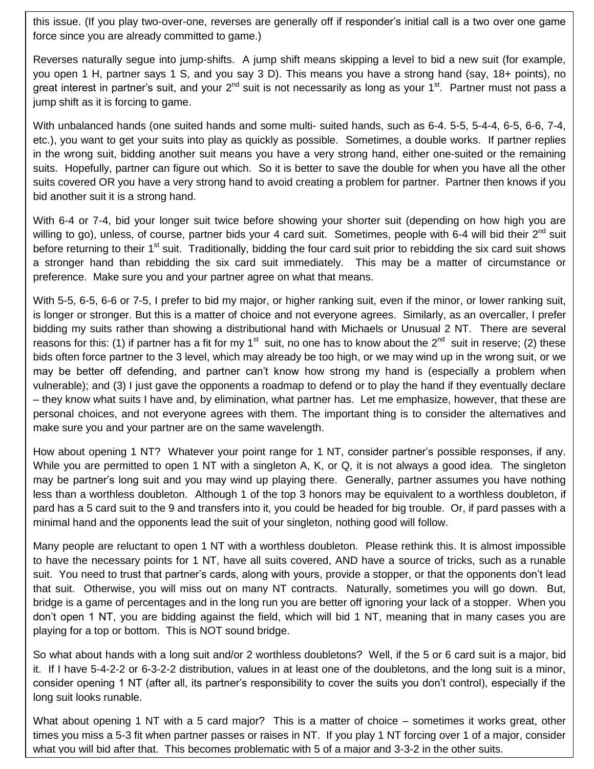force since you are already committed to game.) this issue. (If you play two-over-one, reverses are generally off if responder's initial call is a two over one game

Reverses naturally segue into jump-shifts. A jump shift means skipping a level to bid a new suit (for example, you open 1 H, partner says 1 S, and you say 3 D). This means you have a strong hand (say, 18+ points), no great interest in partner's suit, and your 2<sup>nd</sup> suit is not necessarily as long as your 1<sup>st</sup>. Partner must not pass a jump shift as it is forcing to game.

With unbalanced hands (one suited hands and some multi- suited hands, such as 6-4. 5-5, 5-4-4, 6-5, 6-6, 7-4, etc.), you want to get your suits into play as quickly as possible. Sometimes, a double works. If partner replies in the wrong suit, bidding another suit means you have a very strong hand, either one-suited or the remaining suits. Hopefully, partner can figure out which. So it is better to save the double for when you have all the other suits covered OR you have a very strong hand to avoid creating a problem for partner. Partner then knows if you bid another suit it is a strong hand.

With 6-4 or 7-4, bid your longer suit twice before showing your shorter suit (depending on how high you are willing to go), unless, of course, partner bids your 4 card suit. Sometimes, people with 6-4 will bid their 2<sup>nd</sup> suit before returning to their 1<sup>st</sup> suit. Traditionally, bidding the four card suit prior to rebidding the six card suit shows a stronger hand than rebidding the six card suit immediately. This may be a matter of circumstance or preference. Make sure you and your partner agree on what that means.

With 5-5, 6-5, 6-6 or 7-5, I prefer to bid my major, or higher ranking suit, even if the minor, or lower ranking suit, is longer or stronger. But this is a matter of choice and not everyone agrees. Similarly, as an overcaller, I prefer bidding my suits rather than showing a distributional hand with Michaels or Unusual 2 NT. There are several reasons for this: (1) if partner has a fit for my 1<sup>st</sup> suit, no one has to know about the 2<sup>nd</sup> suit in reserve; (2) these bids often force partner to the 3 level, which may already be too high, or we may wind up in the wrong suit, or we may be better off defending, and partner can't know how strong my hand is (especially a problem when vulnerable); and (3) I just gave the opponents a roadmap to defend or to play the hand if they eventually declare – they know what suits I have and, by elimination, what partner has. Let me emphasize, however, that these are personal choices, and not everyone agrees with them. The important thing is to consider the alternatives and make sure you and your partner are on the same wavelength.

How about opening 1 NT? Whatever your point range for 1 NT, consider partner's possible responses, if any. While you are permitted to open 1 NT with a singleton A, K, or Q, it is not always a good idea. The singleton may be partner's long suit and you may wind up playing there. Generally, partner assumes you have nothing less than a worthless doubleton. Although 1 of the top 3 honors may be equivalent to a worthless doubleton, if pard has a 5 card suit to the 9 and transfers into it, you could be headed for big trouble. Or, if pard passes with a minimal hand and the opponents lead the suit of your singleton, nothing good will follow.

Many people are reluctant to open 1 NT with a worthless doubleton. Please rethink this. It is almost impossible to have the necessary points for 1 NT, have all suits covered, AND have a source of tricks, such as a runable suit. You need to trust that partner's cards, along with yours, provide a stopper, or that the opponents don't lead that suit. Otherwise, you will miss out on many NT contracts. Naturally, sometimes you will go down. But, bridge is a game of percentages and in the long run you are better off ignoring your lack of a stopper. When you don't open 1 NT, you are bidding against the field, which will bid 1 NT, meaning that in many cases you are playing for a top or bottom. This is NOT sound bridge.

So what about hands with a long suit and/or 2 worthless doubletons? Well, if the 5 or 6 card suit is a major, bid it. If I have 5-4-2-2 or 6-3-2-2 distribution, values in at least one of the doubletons, and the long suit is a minor, consider opening 1 NT (after all, its partner's responsibility to cover the suits you don't control), especially if the long suit looks runable.

What about opening 1 NT with a 5 card major? This is a matter of choice – sometimes it works great, other times you miss a 5-3 fit when partner passes or raises in NT. If you play 1 NT forcing over 1 of a major, consider what you will bid after that. This becomes problematic with 5 of a major and 3-3-2 in the other suits.